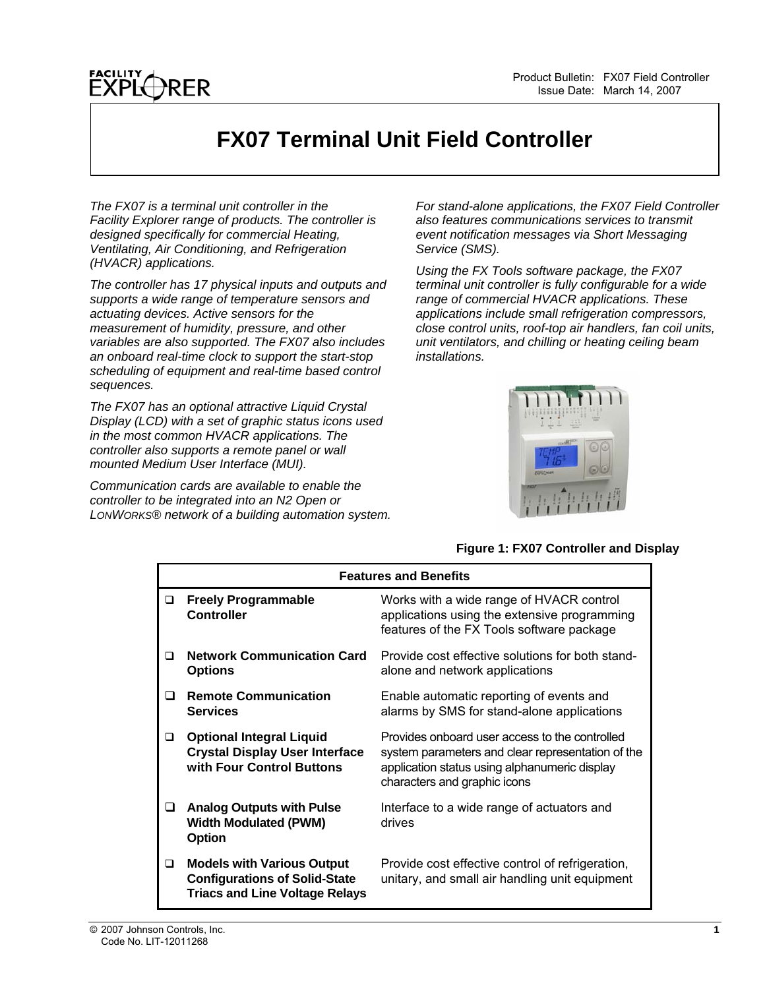## **FX07 Terminal Unit Field Controller**

*The FX07 is a terminal unit controller in the Facility Explorer range of products. The controller is designed specifically for commercial Heating, Ventilating, Air Conditioning, and Refrigeration (HVACR) applications.* 

*The controller has 17 physical inputs and outputs and supports a wide range of temperature sensors and actuating devices. Active sensors for the measurement of humidity, pressure, and other variables are also supported. The FX07 also includes an onboard real-time clock to support the start-stop scheduling of equipment and real-time based control sequences.* 

*The FX07 has an optional attractive Liquid Crystal Display (LCD) with a set of graphic status icons used in the most common HVACR applications. The controller also supports a remote panel or wall mounted Medium User Interface (MUI).* 

*Communication cards are available to enable the controller to be integrated into an N2 Open or LONWORKS® network of a building automation system.*  *For stand-alone applications, the FX07 Field Controller also features communications services to transmit event notification messages via Short Messaging Service (SMS).* 

*Using the FX Tools software package, the FX07 terminal unit controller is fully configurable for a wide range of commercial HVACR applications. These applications include small refrigeration compressors, close control units, roof-top air handlers, fan coil units, unit ventilators, and chilling or heating ceiling beam installations.* 



### **Figure 1: FX07 Controller and Display**

|   | <b>Features and Benefits</b>                                                                                       |                                                                                                                                                                                      |  |
|---|--------------------------------------------------------------------------------------------------------------------|--------------------------------------------------------------------------------------------------------------------------------------------------------------------------------------|--|
| ◻ | <b>Freely Programmable</b><br><b>Controller</b>                                                                    | Works with a wide range of HVACR control<br>applications using the extensive programming<br>features of the FX Tools software package                                                |  |
| ◻ | <b>Network Communication Card</b><br><b>Options</b>                                                                | Provide cost effective solutions for both stand-<br>alone and network applications                                                                                                   |  |
| ◻ | <b>Remote Communication</b><br><b>Services</b>                                                                     | Enable automatic reporting of events and<br>alarms by SMS for stand-alone applications                                                                                               |  |
| ❏ | <b>Optional Integral Liquid</b><br><b>Crystal Display User Interface</b><br>with Four Control Buttons              | Provides onboard user access to the controlled<br>system parameters and clear representation of the<br>application status using alphanumeric display<br>characters and graphic icons |  |
| ப | <b>Analog Outputs with Pulse</b><br><b>Width Modulated (PWM)</b><br><b>Option</b>                                  | Interface to a wide range of actuators and<br>drives                                                                                                                                 |  |
| ❏ | <b>Models with Various Output</b><br><b>Configurations of Solid-State</b><br><b>Triacs and Line Voltage Relays</b> | Provide cost effective control of refrigeration,<br>unitary, and small air handling unit equipment                                                                                   |  |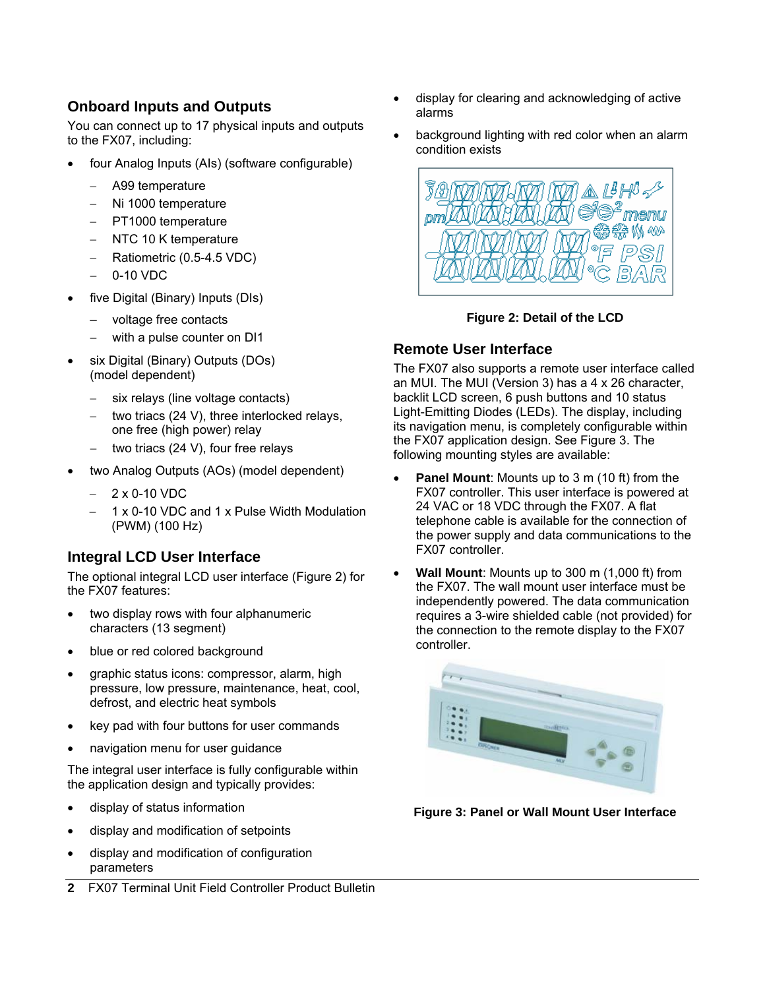### **Onboard Inputs and Outputs**

You can connect up to 17 physical inputs and outputs to the FX07, including:

- four Analog Inputs (AIs) (software configurable)
	- − A99 temperature
	- − Ni 1000 temperature
	- − PT1000 temperature
	- − NTC 10 K temperature
	- − Ratiometric (0.5-4.5 VDC)
	- 0-10 VDC
- five Digital (Binary) Inputs (DIs)
	- voltage free contacts
	- − with a pulse counter on DI1
- six Digital (Binary) Outputs (DOs) (model dependent)
	- six relays (line voltage contacts)
	- two triacs (24 V), three interlocked relays, one free (high power) relay
	- two triacs (24 V), four free relays
- two Analog Outputs (AOs) (model dependent)
	- − 2 x 0-10 VDC
	- − 1 x 0-10 VDC and 1 x Pulse Width Modulation (PWM) (100 Hz)

### **Integral LCD User Interface**

The optional integral LCD user interface (Figure 2) for the FX07 features:

- two display rows with four alphanumeric characters (13 segment)
- blue or red colored background
- graphic status icons: compressor, alarm, high pressure, low pressure, maintenance, heat, cool, defrost, and electric heat symbols
- key pad with four buttons for user commands
- navigation menu for user guidance

The integral user interface is fully configurable within the application design and typically provides:

- display of status information
- display and modification of setpoints
- display and modification of configuration parameters
- **2** FX07 Terminal Unit Field Controller Product Bulletin
- display for clearing and acknowledging of active alarms
- background lighting with red color when an alarm condition exists



**Figure 2: Detail of the LCD** 

### **Remote User Interface**

The FX07 also supports a remote user interface called an MUI. The MUI (Version 3) has a 4 x 26 character, backlit LCD screen, 6 push buttons and 10 status Light-Emitting Diodes (LEDs). The display, including its navigation menu, is completely configurable within the FX07 application design. See Figure 3. The following mounting styles are available:

- **Panel Mount:** Mounts up to 3 m (10 ft) from the FX07 controller. This user interface is powered at 24 VAC or 18 VDC through the FX07. A flat telephone cable is available for the connection of the power supply and data communications to the FX07 controller.
- **Wall Mount**: Mounts up to 300 m (1,000 ft) from the FX07. The wall mount user interface must be independently powered. The data communication requires a 3-wire shielded cable (not provided) for the connection to the remote display to the FX07 controller.



**Figure 3: Panel or Wall Mount User Interface**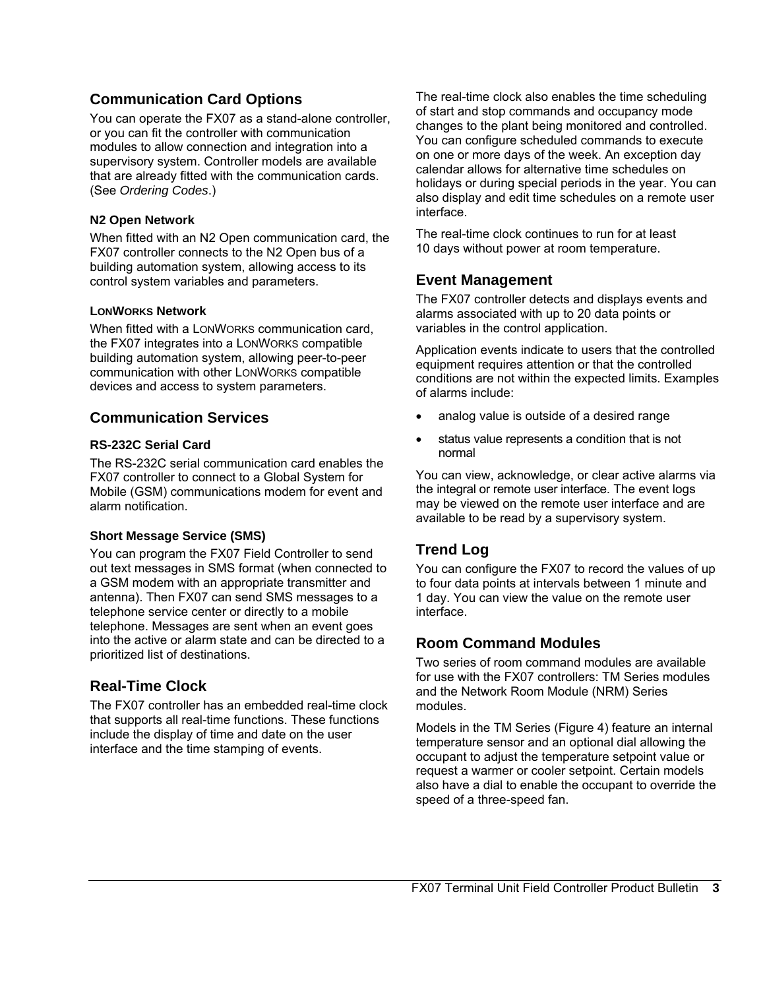### **Communication Card Options**

You can operate the FX07 as a stand-alone controller, or you can fit the controller with communication modules to allow connection and integration into a supervisory system. Controller models are available that are already fitted with the communication cards. (See *Ordering Codes*.)

### **N2 Open Network**

When fitted with an N2 Open communication card, the FX07 controller connects to the N2 Open bus of a building automation system, allowing access to its control system variables and parameters.

### **LONWORKS Network**

When fitted with a LONWORKS communication card, the FX07 integrates into a LONWORKS compatible building automation system, allowing peer-to-peer communication with other LONWORKS compatible devices and access to system parameters.

### **Communication Services**

### **RS-232C Serial Card**

The RS-232C serial communication card enables the FX07 controller to connect to a Global System for Mobile (GSM) communications modem for event and alarm notification.

### **Short Message Service (SMS)**

You can program the FX07 Field Controller to send out text messages in SMS format (when connected to a GSM modem with an appropriate transmitter and antenna). Then FX07 can send SMS messages to a telephone service center or directly to a mobile telephone. Messages are sent when an event goes into the active or alarm state and can be directed to a prioritized list of destinations.

### **Real-Time Clock**

The FX07 controller has an embedded real-time clock that supports all real-time functions. These functions include the display of time and date on the user interface and the time stamping of events.

The real-time clock also enables the time scheduling of start and stop commands and occupancy mode changes to the plant being monitored and controlled. You can configure scheduled commands to execute on one or more days of the week. An exception day calendar allows for alternative time schedules on holidays or during special periods in the year. You can also display and edit time schedules on a remote user interface.

The real-time clock continues to run for at least 10 days without power at room temperature.

### **Event Management**

The FX07 controller detects and displays events and alarms associated with up to 20 data points or variables in the control application.

Application events indicate to users that the controlled equipment requires attention or that the controlled conditions are not within the expected limits. Examples of alarms include:

- analog value is outside of a desired range
- status value represents a condition that is not normal

You can view, acknowledge, or clear active alarms via the integral or remote user interface. The event logs may be viewed on the remote user interface and are available to be read by a supervisory system.

### **Trend Log**

You can configure the FX07 to record the values of up to four data points at intervals between 1 minute and 1 day. You can view the value on the remote user interface.

### **Room Command Modules**

Two series of room command modules are available for use with the FX07 controllers: TM Series modules and the Network Room Module (NRM) Series modules.

Models in the TM Series (Figure 4) feature an internal temperature sensor and an optional dial allowing the occupant to adjust the temperature setpoint value or request a warmer or cooler setpoint. Certain models also have a dial to enable the occupant to override the speed of a three-speed fan.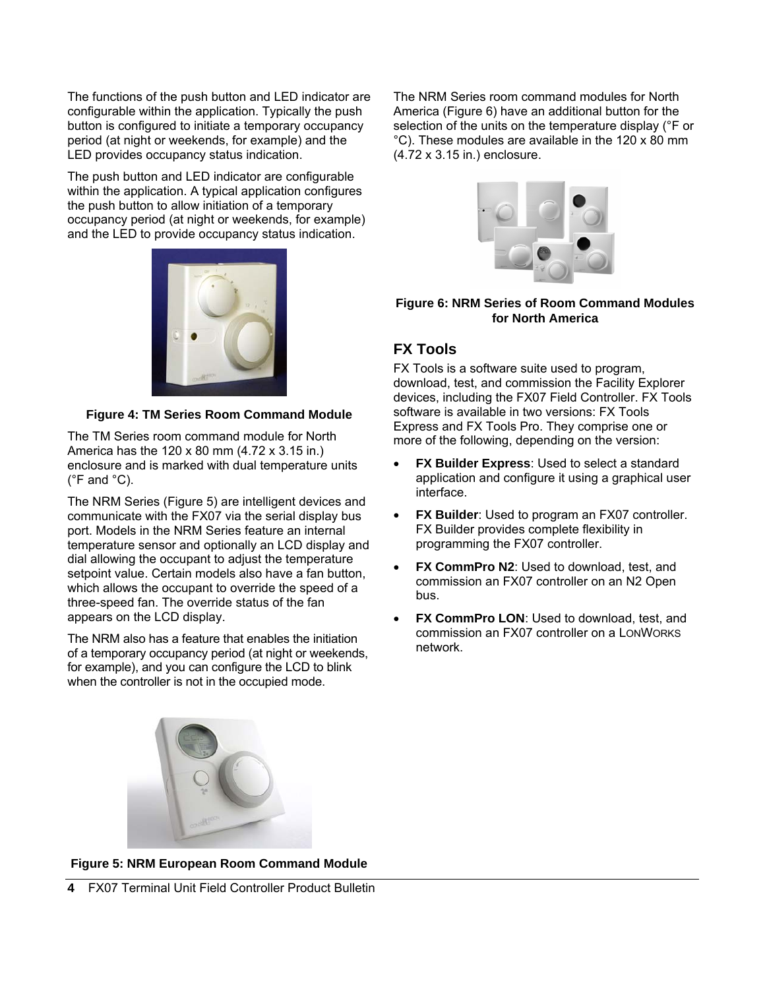The functions of the push button and LED indicator are configurable within the application. Typically the push button is configured to initiate a temporary occupancy period (at night or weekends, for example) and the LED provides occupancy status indication.

The push button and LED indicator are configurable within the application. A typical application configures the push button to allow initiation of a temporary occupancy period (at night or weekends, for example) and the LED to provide occupancy status indication.



### **Figure 4: TM Series Room Command Module**

The TM Series room command module for North America has the 120 x 80 mm (4.72 x 3.15 in.) enclosure and is marked with dual temperature units  $(^{\circ}$ F and  $^{\circ}$ C).

The NRM Series (Figure 5) are intelligent devices and communicate with the FX07 via the serial display bus port. Models in the NRM Series feature an internal temperature sensor and optionally an LCD display and dial allowing the occupant to adjust the temperature setpoint value. Certain models also have a fan button, which allows the occupant to override the speed of a three-speed fan. The override status of the fan appears on the LCD display.

The NRM also has a feature that enables the initiation of a temporary occupancy period (at night or weekends, for example), and you can configure the LCD to blink when the controller is not in the occupied mode.



**Figure 5: NRM European Room Command Module** 

The NRM Series room command modules for North America (Figure 6) have an additional button for the selection of the units on the temperature display (°F or °C). These modules are available in the 120 x 80 mm (4.72 x 3.15 in.) enclosure.



### **Figure 6: NRM Series of Room Command Modules for North America**

### **FX Tools**

FX Tools is a software suite used to program, download, test, and commission the Facility Explorer devices, including the FX07 Field Controller. FX Tools software is available in two versions: FX Tools Express and FX Tools Pro. They comprise one or more of the following, depending on the version:

- **FX Builder Express: Used to select a standard** application and configure it using a graphical user interface.
- **FX Builder:** Used to program an FX07 controller. FX Builder provides complete flexibility in programming the FX07 controller.
- **FX CommPro N2: Used to download, test, and** commission an FX07 controller on an N2 Open bus.
- **FX CommPro LON: Used to download, test, and** commission an FX07 controller on a LONWORKS network.

**4** FX07 Terminal Unit Field Controller Product Bulletin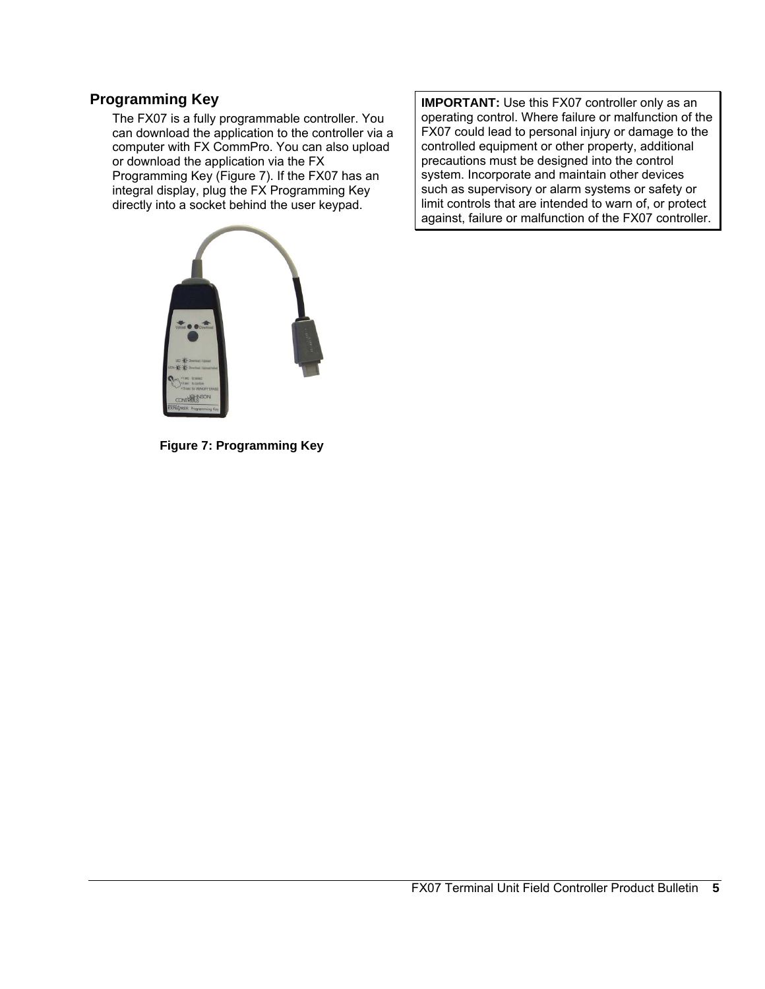### **Programming Key**

The FX07 is a fully programmable controller. You can download the application to the controller via a computer with FX CommPro. You can also upload or download the application via the FX Programming Key (Figure 7). If the FX07 has an integral display, plug the FX Programming Key directly into a socket behind the user keypad.

**IMPORTANT:** Use this FX07 controller only as an operating control. Where failure or malfunction of the FX07 could lead to personal injury or damage to the controlled equipment or other property, additional precautions must be designed into the control system. Incorporate and maintain other devices such as supervisory or alarm systems or safety or limit controls that are intended to warn of, or protect against, failure or malfunction of the FX07 controller.

**Figure 7: Programming Key**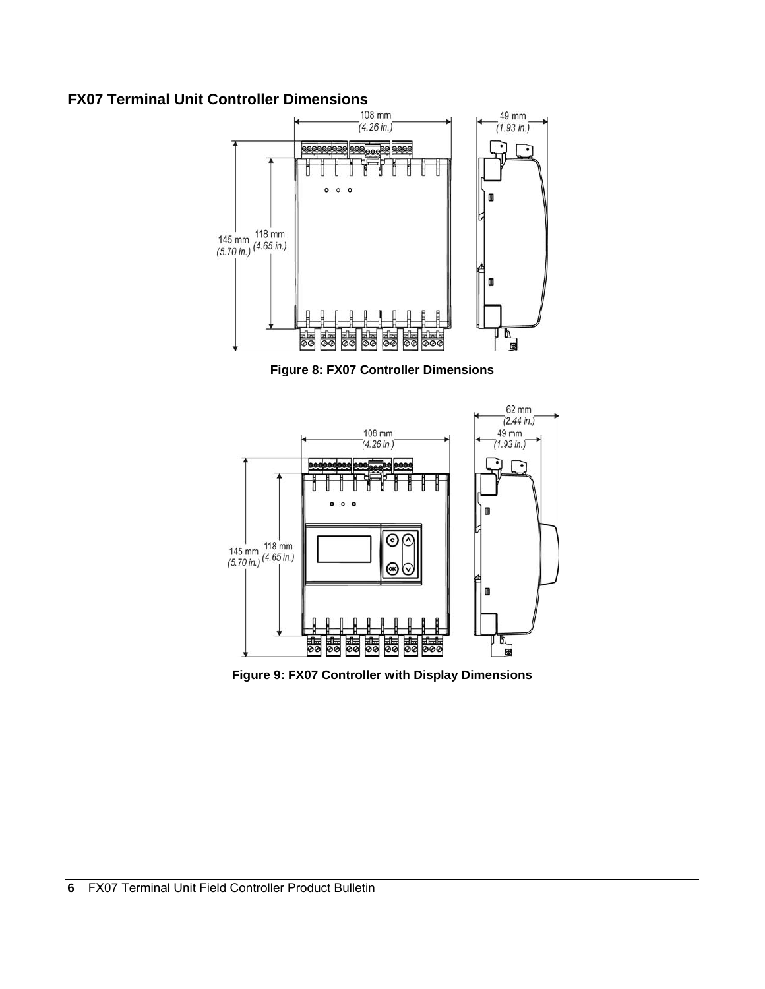# **FX07 Terminal Unit Controller Dimensions**<br>  $\begin{bmatrix} 108 \text{ mm} \\ (4.26 \text{ in.}) \end{bmatrix}$



**Figure 8: FX07 Controller Dimensions** 



**Figure 9: FX07 Controller with Display Dimensions**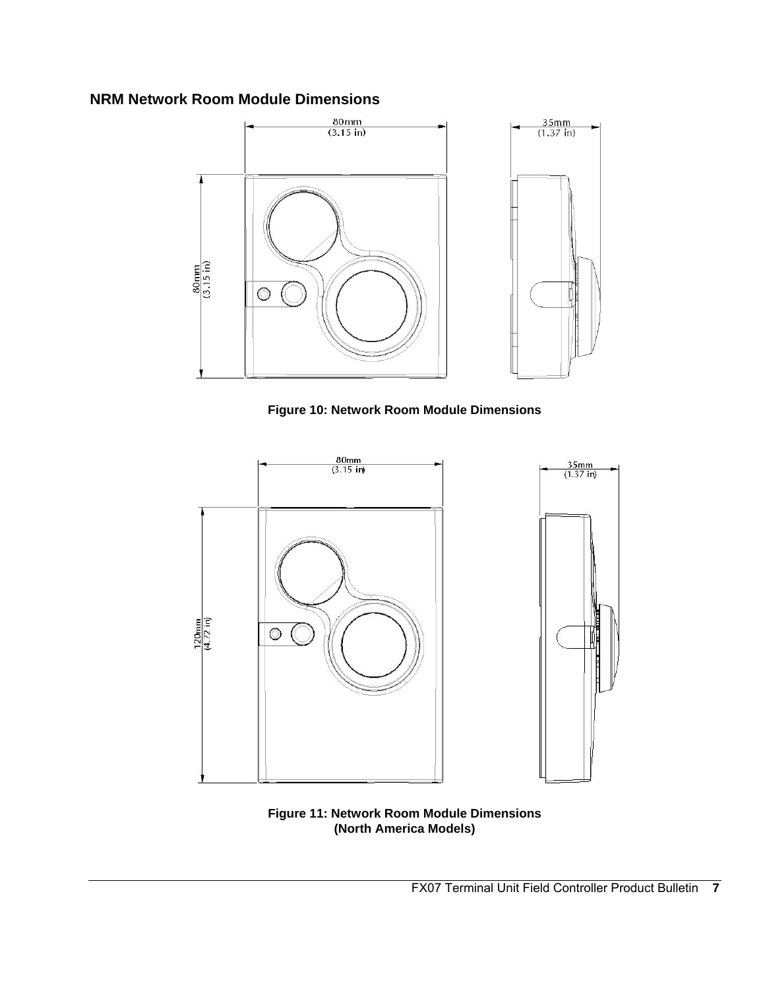### **NRM Network Room Module Dimensions**



**Figure 10: Network Room Module Dimensions** 



**Figure 11: Network Room Module Dimensions (North America Models)**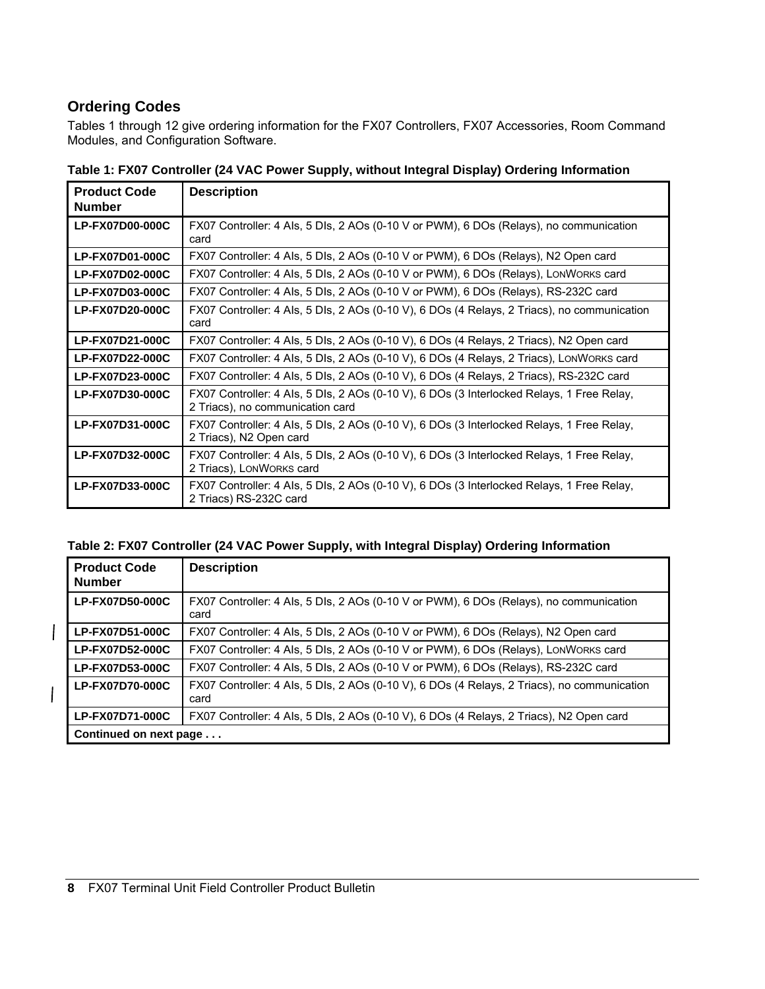### **Ordering Codes**

 $\overline{\phantom{a}}$ 

Tables 1 through 12 give ordering information for the FX07 Controllers, FX07 Accessories, Room Command Modules, and Configuration Software.

| <b>Product Code</b><br><b>Number</b> | <b>Description</b>                                                                                                            |
|--------------------------------------|-------------------------------------------------------------------------------------------------------------------------------|
| <b>LP-FX07D00-000C</b>               | FX07 Controller: 4 Als, 5 Dls, 2 AOs (0-10 V or PWM), 6 DOs (Relays), no communication<br>card                                |
| LP-FX07D01-000C                      | FX07 Controller: 4 Als, 5 Dls, 2 AOs (0-10 V or PWM), 6 DOs (Relays), N2 Open card                                            |
| LP-FX07D02-000C                      | FX07 Controller: 4 Als, 5 Dls, 2 AOs (0-10 V or PWM), 6 DOs (Relays), LONWORKS card                                           |
| LP-FX07D03-000C                      | FX07 Controller: 4 Als, 5 Dls, 2 AOs (0-10 V or PWM), 6 DOs (Relays), RS-232C card                                            |
| <b>LP-FX07D20-000C</b>               | FX07 Controller: 4 Als, 5 Dls, 2 AOs (0-10 V), 6 DOs (4 Relays, 2 Triacs), no communication<br>card                           |
| LP-FX07D21-000C                      | FX07 Controller: 4 Als, 5 Dls, 2 AOs (0-10 V), 6 DOs (4 Relays, 2 Triacs), N2 Open card                                       |
| LP-FX07D22-000C                      | FX07 Controller: 4 Als, 5 Dls, 2 AOs (0-10 V), 6 DOs (4 Relays, 2 Triacs), LONWORKS card                                      |
| LP-FX07D23-000C                      | FX07 Controller: 4 Als, 5 Dls, 2 AOs (0-10 V), 6 DOs (4 Relays, 2 Triacs), RS-232C card                                       |
| LP-FX07D30-000C                      | FX07 Controller: 4 Als, 5 Dls, 2 AOs (0-10 V), 6 DOs (3 Interlocked Relays, 1 Free Relay,<br>2 Triacs), no communication card |
| LP-FX07D31-000C                      | FX07 Controller: 4 Als, 5 Dls, 2 AOs (0-10 V), 6 DOs (3 Interlocked Relays, 1 Free Relay,<br>2 Triacs), N2 Open card          |
| LP-FX07D32-000C                      | FX07 Controller: 4 Als, 5 Dls, 2 AOs (0-10 V), 6 DOs (3 Interlocked Relays, 1 Free Relay,<br>2 Triacs), LONWORKS card         |
| LP-FX07D33-000C                      | FX07 Controller: 4 Als, 5 Dls, 2 AOs (0-10 V), 6 DOs (3 Interlocked Relays, 1 Free Relay,<br>2 Triacs) RS-232C card           |

**Table 1: FX07 Controller (24 VAC Power Supply, without Integral Display) Ordering Information** 

### **Table 2: FX07 Controller (24 VAC Power Supply, with Integral Display) Ordering Information**

| <b>Product Code</b><br><b>Number</b> | <b>Description</b>                                                                                  |
|--------------------------------------|-----------------------------------------------------------------------------------------------------|
| LP-FX07D50-000C                      | FX07 Controller: 4 Als, 5 Dls, 2 AOs (0-10 V or PWM), 6 DOs (Relays), no communication<br>card      |
| LP-FX07D51-000C                      | FX07 Controller: 4 Als, 5 Dls, 2 AOs (0-10 V or PWM), 6 DOs (Relays), N2 Open card                  |
| LP-FX07D52-000C                      | FX07 Controller: 4 Als, 5 Dls, 2 AOs (0-10 V or PWM), 6 DOs (Relays), LONWORKS card                 |
| LP-FX07D53-000C                      | FX07 Controller: 4 Als, 5 Dls, 2 AOs (0-10 V or PWM), 6 DOs (Relays), RS-232C card                  |
| <b>LP-FX07D70-000C</b>               | FX07 Controller: 4 Als, 5 Dls, 2 AOs (0-10 V), 6 DOs (4 Relays, 2 Triacs), no communication<br>card |
| LP-FX07D71-000C                      | FX07 Controller: 4 Als, 5 Dls, 2 AOs (0-10 V), 6 DOs (4 Relays, 2 Triacs), N2 Open card             |
| Continued on next page               |                                                                                                     |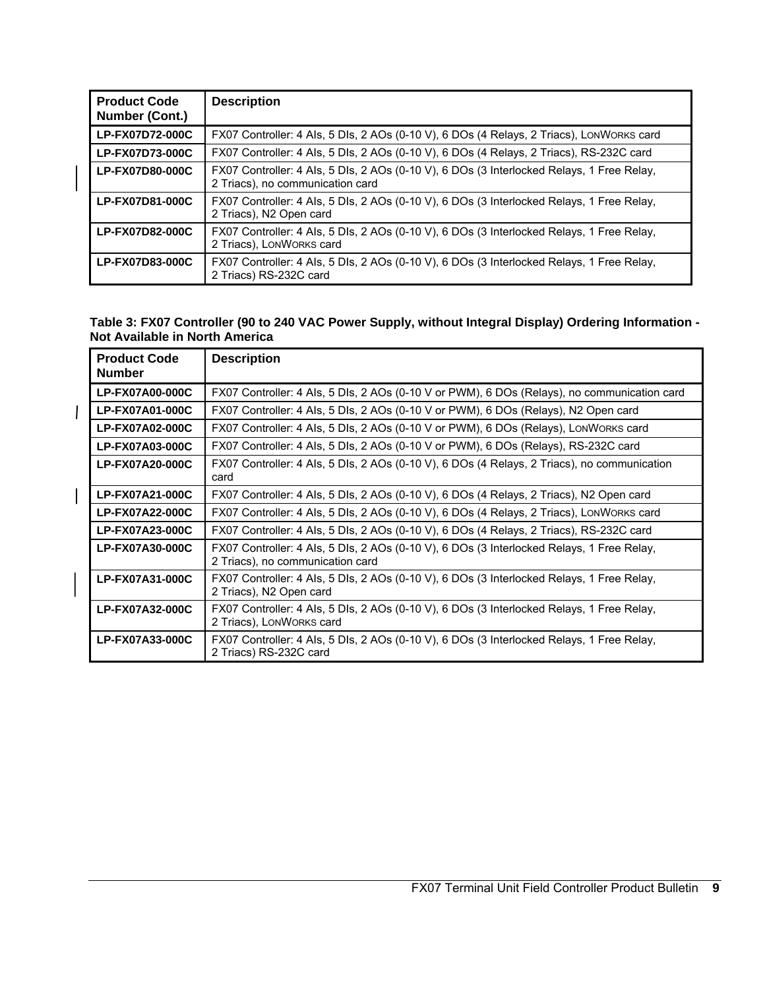| <b>Product Code</b><br>Number (Cont.) | <b>Description</b>                                                                                                            |
|---------------------------------------|-------------------------------------------------------------------------------------------------------------------------------|
| LP-FX07D72-000C                       | FX07 Controller: 4 Als, 5 Dls, 2 AOs (0-10 V), 6 DOs (4 Relays, 2 Triacs), LONWORKS card                                      |
| LP-FX07D73-000C                       | FX07 Controller: 4 Als, 5 Dls, 2 AOs (0-10 V), 6 DOs (4 Relays, 2 Triacs), RS-232C card                                       |
| LP-FX07D80-000C                       | FX07 Controller: 4 Als, 5 Dls, 2 AOs (0-10 V), 6 DOs (3 Interlocked Relays, 1 Free Relay,<br>2 Triacs), no communication card |
| LP-FX07D81-000C                       | FX07 Controller: 4 Als, 5 Dls, 2 AOs (0-10 V), 6 DOs (3 Interlocked Relays, 1 Free Relay,<br>2 Triacs), N2 Open card          |
| LP-FX07D82-000C                       | FX07 Controller: 4 Als, 5 Dls, 2 AOs (0-10 V), 6 DOs (3 Interlocked Relays, 1 Free Relay,<br>2 Triacs), LONWORKS card         |
| LP-FX07D83-000C                       | FX07 Controller: 4 Als, 5 Dls, 2 AOs (0-10 V), 6 DOs (3 Interlocked Relays, 1 Free Relay,<br>2 Triacs) RS-232C card           |

 $\overline{\phantom{a}}$ 

 $\overline{1}$ 

 $\overline{1}$ 

### **Table 3: FX07 Controller (90 to 240 VAC Power Supply, without Integral Display) Ordering Information - Not Available in North America**

| <b>Product Code</b><br><b>Number</b> | <b>Description</b>                                                                                                            |
|--------------------------------------|-------------------------------------------------------------------------------------------------------------------------------|
| <b>LP-FX07A00-000C</b>               | FX07 Controller: 4 Als, 5 Dls, 2 AOs (0-10 V or PWM), 6 DOs (Relays), no communication card                                   |
| LP-FX07A01-000C                      | FX07 Controller: 4 Als, 5 Dls, 2 AOs (0-10 V or PWM), 6 DOs (Relays), N2 Open card                                            |
| LP-FX07A02-000C                      | FX07 Controller: 4 Als, 5 Dls, 2 AOs (0-10 V or PWM), 6 DOs (Relays), LONWORKS card                                           |
| LP-FX07A03-000C                      | FX07 Controller: 4 Als, 5 Dls, 2 AOs (0-10 V or PWM), 6 DOs (Relays), RS-232C card                                            |
| <b>LP-FX07A20-000C</b>               | FX07 Controller: 4 Als, 5 Dls, 2 AOs (0-10 V), 6 DOs (4 Relays, 2 Triacs), no communication<br>card                           |
| LP-FX07A21-000C                      | FX07 Controller: 4 Als, 5 Dls, 2 AOs (0-10 V), 6 DOs (4 Relays, 2 Triacs), N2 Open card                                       |
| LP-FX07A22-000C                      | FX07 Controller: 4 Als, 5 Dls, 2 AOs (0-10 V), 6 DOs (4 Relays, 2 Triacs), LONWORKS card                                      |
| LP-FX07A23-000C                      | FX07 Controller: 4 Als, 5 Dls, 2 AOs (0-10 V), 6 DOs (4 Relays, 2 Triacs), RS-232C card                                       |
| <b>LP-FX07A30-000C</b>               | FX07 Controller: 4 Als, 5 Dls, 2 AOs (0-10 V), 6 DOs (3 Interlocked Relays, 1 Free Relay,<br>2 Triacs), no communication card |
| LP-FX07A31-000C                      | FX07 Controller: 4 Als, 5 Dls, 2 AOs (0-10 V), 6 DOs (3 Interlocked Relays, 1 Free Relay,<br>2 Triacs), N2 Open card          |
| LP-FX07A32-000C                      | FX07 Controller: 4 Als, 5 Dls, 2 AOs (0-10 V), 6 DOs (3 Interlocked Relays, 1 Free Relay,<br>2 Triacs), LONWORKS card         |
| LP-FX07A33-000C                      | FX07 Controller: 4 Als, 5 Dls, 2 AOs (0-10 V), 6 DOs (3 Interlocked Relays, 1 Free Relay,<br>2 Triacs) RS-232C card           |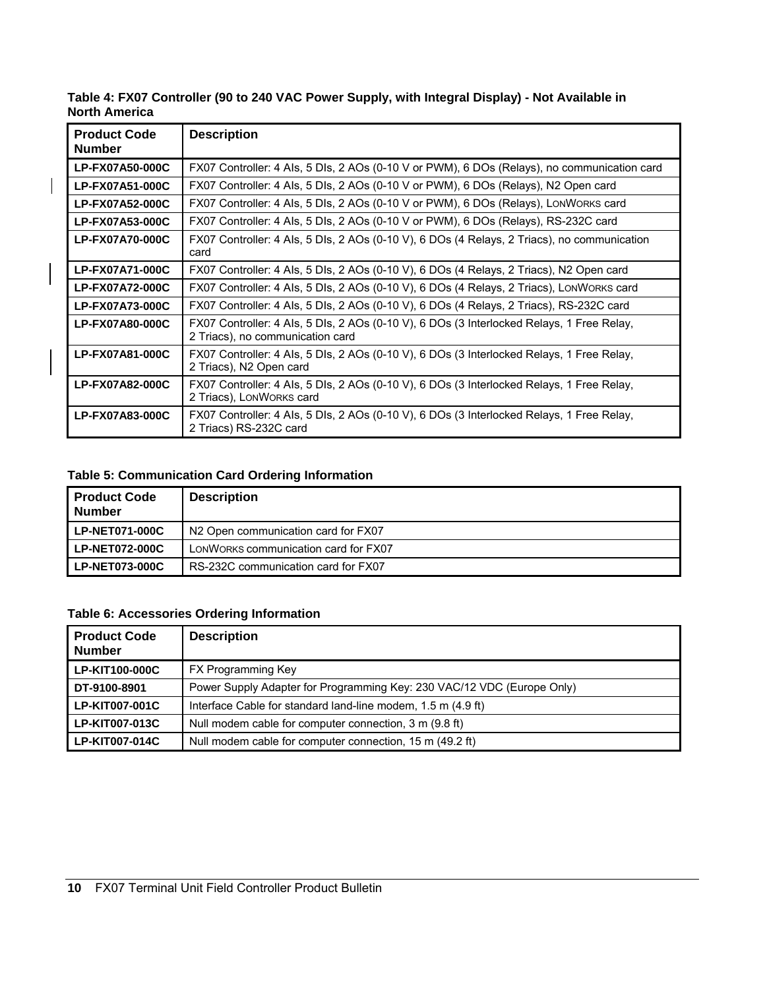| Table 4: FX07 Controller (90 to 240 VAC Power Supply, with Integral Display) - Not Available in |  |
|-------------------------------------------------------------------------------------------------|--|
| <b>North America</b>                                                                            |  |

| <b>Product Code</b><br><b>Number</b> | <b>Description</b>                                                                                                            |
|--------------------------------------|-------------------------------------------------------------------------------------------------------------------------------|
| <b>LP-FX07A50-000C</b>               | FX07 Controller: 4 Als, 5 Dls, 2 AOs (0-10 V or PWM), 6 DOs (Relays), no communication card                                   |
| LP-FX07A51-000C                      | FX07 Controller: 4 Als, 5 Dls, 2 AOs (0-10 V or PWM), 6 DOs (Relays), N2 Open card                                            |
| <b>LP-FX07A52-000C</b>               | FX07 Controller: 4 Als, 5 Dls, 2 AOs (0-10 V or PWM), 6 DOs (Relays), LONWORKS card                                           |
| <b>LP-FX07A53-000C</b>               | FX07 Controller: 4 Als, 5 Dls, 2 AOs (0-10 V or PWM), 6 DOs (Relays), RS-232C card                                            |
| <b>LP-FX07A70-000C</b>               | FX07 Controller: 4 Als, 5 Dls, 2 AOs (0-10 V), 6 DOs (4 Relays, 2 Triacs), no communication<br>card                           |
| <b>LP-FX07A71-000C</b>               | FX07 Controller: 4 Als, 5 Dls, 2 AOs (0-10 V), 6 DOs (4 Relays, 2 Triacs), N2 Open card                                       |
| LP-FX07A72-000C                      | FX07 Controller: 4 Als, 5 Dls, 2 AOs (0-10 V), 6 DOs (4 Relays, 2 Triacs), LONWORKS card                                      |
| <b>LP-FX07A73-000C</b>               | FX07 Controller: 4 Als, 5 Dls, 2 AOs (0-10 V), 6 DOs (4 Relays, 2 Triacs), RS-232C card                                       |
| LP-FX07A80-000C                      | FX07 Controller: 4 Als, 5 Dls, 2 AOs (0-10 V), 6 DOs (3 Interlocked Relays, 1 Free Relay,<br>2 Triacs), no communication card |
| LP-FX07A81-000C                      | FX07 Controller: 4 Als, 5 Dls, 2 AOs (0-10 V), 6 DOs (3 Interlocked Relays, 1 Free Relay,<br>2 Triacs), N2 Open card          |
| LP-FX07A82-000C                      | FX07 Controller: 4 Als, 5 Dls, 2 AOs (0-10 V), 6 DOs (3 Interlocked Relays, 1 Free Relay,<br>2 Triacs), LONWORKS card         |
| LP-FX07A83-000C                      | FX07 Controller: 4 Als, 5 Dls, 2 AOs (0-10 V), 6 DOs (3 Interlocked Relays, 1 Free Relay,<br>2 Triacs) RS-232C card           |

### **Table 5: Communication Card Ordering Information**

 $\overline{\phantom{a}}$ 

| <b>Product Code</b><br><b>Number</b> | <b>Description</b>                   |
|--------------------------------------|--------------------------------------|
| <b>LP-NET071-000C</b>                | N2 Open communication card for FX07  |
| <b>LP-NET072-000C</b>                | LONWORKS communication card for FX07 |
| <b>LP-NET073-000C</b>                | RS-232C communication card for FX07  |

### **Table 6: Accessories Ordering Information**

| <b>Product Code</b><br><b>Number</b> | <b>Description</b>                                                     |
|--------------------------------------|------------------------------------------------------------------------|
| LP-KIT100-000C                       | <b>FX Programming Key</b>                                              |
| DT-9100-8901                         | Power Supply Adapter for Programming Key: 230 VAC/12 VDC (Europe Only) |
| LP-KIT007-001C                       | Interface Cable for standard land-line modem, 1.5 m (4.9 ft)           |
| LP-KIT007-013C                       | Null modem cable for computer connection, 3 m (9.8 ft)                 |
| LP-KIT007-014C                       | Null modem cable for computer connection, 15 m (49.2 ft)               |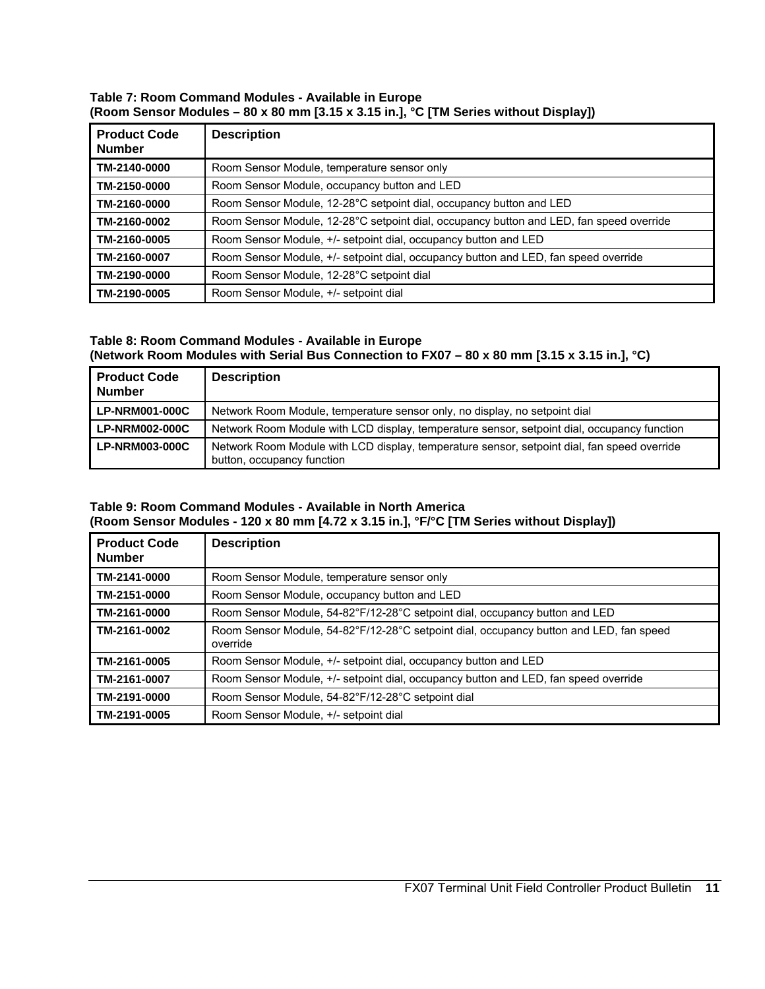### **Table 7: Room Command Modules - Available in Europe (Room Sensor Modules – 80 x 80 mm [3.15 x 3.15 in.], °C [TM Series without Display])**

| <b>Product Code</b><br><b>Number</b> | <b>Description</b>                                                                      |
|--------------------------------------|-----------------------------------------------------------------------------------------|
| TM-2140-0000                         | Room Sensor Module, temperature sensor only                                             |
| TM-2150-0000                         | Room Sensor Module, occupancy button and LED                                            |
| TM-2160-0000                         | Room Sensor Module, 12-28°C setpoint dial, occupancy button and LED                     |
| TM-2160-0002                         | Room Sensor Module, 12-28°C setpoint dial, occupancy button and LED, fan speed override |
| TM-2160-0005                         | Room Sensor Module, $+/-$ setpoint dial, occupancy button and LED                       |
| TM-2160-0007                         | Room Sensor Module, +/- setpoint dial, occupancy button and LED, fan speed override     |
| TM-2190-0000                         | Room Sensor Module, 12-28°C setpoint dial                                               |
| TM-2190-0005                         | Room Sensor Module, +/- setpoint dial                                                   |

### **Table 8: Room Command Modules - Available in Europe (Network Room Modules with Serial Bus Connection to FX07 – 80 x 80 mm [3.15 x 3.15 in.], °C)**

| <b>Product Code</b><br><b>Number</b> | <b>Description</b>                                                                                                        |
|--------------------------------------|---------------------------------------------------------------------------------------------------------------------------|
| <b>LP-NRM001-000C</b>                | Network Room Module, temperature sensor only, no display, no setpoint dial                                                |
| <b>LP-NRM002-000C</b>                | Network Room Module with LCD display, temperature sensor, setpoint dial, occupancy function                               |
| <b>LP-NRM003-000C</b>                | Network Room Module with LCD display, temperature sensor, setpoint dial, fan speed override<br>button, occupancy function |

### **Table 9: Room Command Modules - Available in North America (Room Sensor Modules - 120 x 80 mm [4.72 x 3.15 in.], °F/°C [TM Series without Display])**

| <b>Product Code</b><br><b>Number</b> | <b>Description</b>                                                                                 |
|--------------------------------------|----------------------------------------------------------------------------------------------------|
| TM-2141-0000                         | Room Sensor Module, temperature sensor only                                                        |
| TM-2151-0000                         | Room Sensor Module, occupancy button and LED                                                       |
| TM-2161-0000                         | Room Sensor Module, 54-82°F/12-28°C setpoint dial, occupancy button and LED                        |
| TM-2161-0002                         | Room Sensor Module, 54-82°F/12-28°C setpoint dial, occupancy button and LED, fan speed<br>override |
| TM-2161-0005                         | Room Sensor Module, +/- setpoint dial, occupancy button and LED                                    |
| TM-2161-0007                         | Room Sensor Module, +/- setpoint dial, occupancy button and LED, fan speed override                |
| TM-2191-0000                         | Room Sensor Module, 54-82°F/12-28°C setpoint dial                                                  |
| TM-2191-0005                         | Room Sensor Module, +/- setpoint dial                                                              |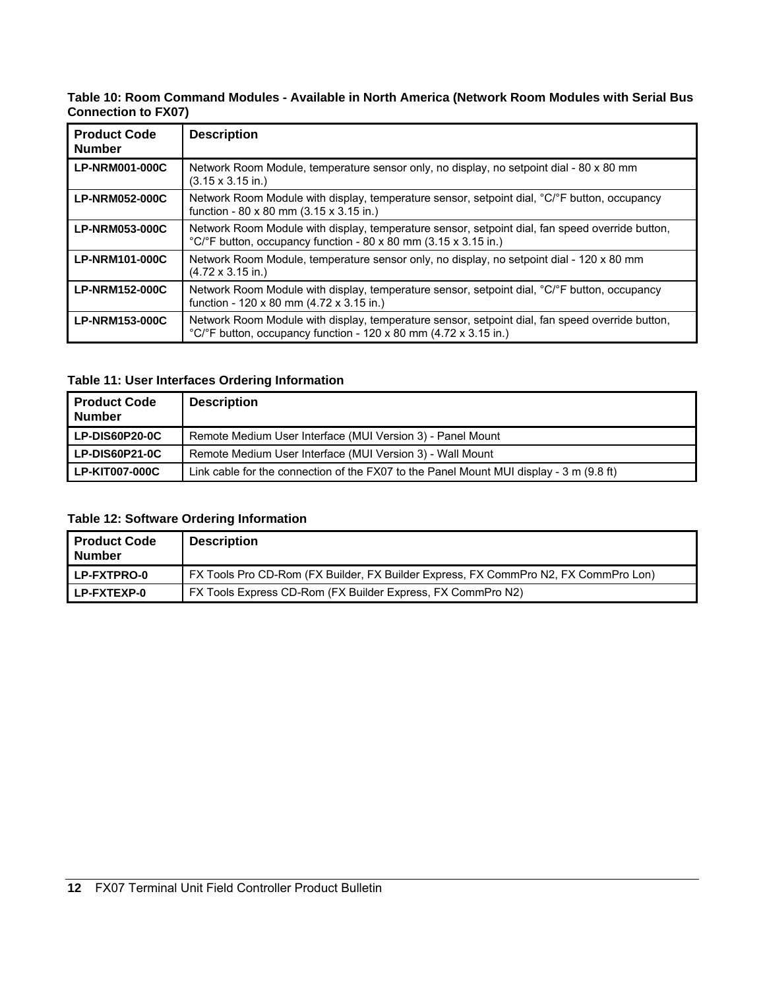### **Table 10: Room Command Modules - Available in North America (Network Room Modules with Serial Bus Connection to FX07)**

| <b>Product Code</b><br><b>Number</b> | <b>Description</b>                                                                                                                                                                       |
|--------------------------------------|------------------------------------------------------------------------------------------------------------------------------------------------------------------------------------------|
| <b>LP-NRM001-000C</b>                | Network Room Module, temperature sensor only, no display, no setpoint dial - 80 x 80 mm<br>$(3.15 \times 3.15 \text{ in.})$                                                              |
| <b>LP-NRM052-000C</b>                | Network Room Module with display, temperature sensor, setpoint dial, °C/°F button, occupancy<br>function - 80 x 80 mm $(3.15 \times 3.15 \text{ in.})$                                   |
| <b>LP-NRM053-000C</b>                | Network Room Module with display, temperature sensor, setpoint dial, fan speed override button,<br>°C/°F button, occupancy function - 80 x 80 mm (3.15 x 3.15 in.)                       |
| <b>LP-NRM101-000C</b>                | Network Room Module, temperature sensor only, no display, no setpoint dial - 120 x 80 mm<br>$(4.72 \times 3.15 \text{ in.})$                                                             |
| <b>LP-NRM152-000C</b>                | Network Room Module with display, temperature sensor, setpoint dial, °C/°F button, occupancy<br>function - 120 x 80 mm (4.72 x 3.15 in.)                                                 |
| <b>LP-NRM153-000C</b>                | Network Room Module with display, temperature sensor, setpoint dial, fan speed override button,<br>$^{\circ}$ C/ $^{\circ}$ F button, occupancy function - 120 x 80 mm (4.72 x 3.15 in.) |

### **Table 11: User Interfaces Ordering Information**

| <b>Product Code</b><br><b>Number</b> | <b>Description</b>                                                                      |
|--------------------------------------|-----------------------------------------------------------------------------------------|
| LP-DIS60P20-0C                       | Remote Medium User Interface (MUI Version 3) - Panel Mount                              |
| LP-DIS60P21-0C                       | Remote Medium User Interface (MUI Version 3) - Wall Mount                               |
| LP-KIT007-000C                       | Link cable for the connection of the FX07 to the Panel Mount MUI display - 3 m (9.8 ft) |

### **Table 12: Software Ordering Information**

| <b>Product Code</b><br><b>Number</b> | <b>Description</b>                                                                  |
|--------------------------------------|-------------------------------------------------------------------------------------|
| <b>LP-FXTPRO-0</b>                   | FX Tools Pro CD-Rom (FX Builder, FX Builder Express, FX CommPro N2, FX CommPro Lon) |
| <b>LP-FXTEXP-0</b>                   | FX Tools Express CD-Rom (FX Builder Express, FX CommPro N2)                         |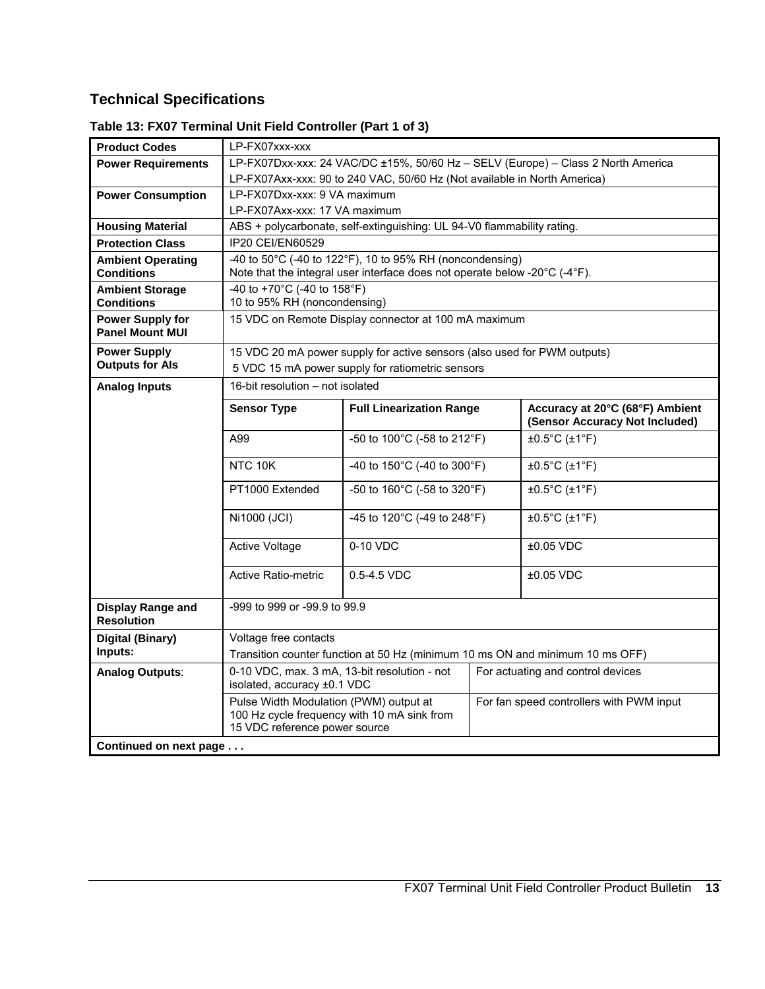### **Technical Specifications**

| <b>Product Codes</b>                              | LP-FX07xxx-xxx                                                                                                                         |                                                               |  |                                                                   |  |
|---------------------------------------------------|----------------------------------------------------------------------------------------------------------------------------------------|---------------------------------------------------------------|--|-------------------------------------------------------------------|--|
| <b>Power Requirements</b>                         | LP-FX07Dxx-xxx: 24 VAC/DC ±15%, 50/60 Hz - SELV (Europe) - Class 2 North America                                                       |                                                               |  |                                                                   |  |
|                                                   | LP-FX07Axx-xxx: 90 to 240 VAC, 50/60 Hz (Not available in North America)                                                               |                                                               |  |                                                                   |  |
| <b>Power Consumption</b>                          | LP-FX07Dxx-xxx: 9 VA maximum                                                                                                           |                                                               |  |                                                                   |  |
|                                                   | LP-FX07Axx-xxx: 17 VA maximum                                                                                                          |                                                               |  |                                                                   |  |
| <b>Housing Material</b>                           | ABS + polycarbonate, self-extinguishing: UL 94-V0 flammability rating.                                                                 |                                                               |  |                                                                   |  |
| <b>Protection Class</b>                           | IP20 CEI/EN60529                                                                                                                       |                                                               |  |                                                                   |  |
| <b>Ambient Operating</b><br><b>Conditions</b>     | -40 to 50°C (-40 to 122°F), 10 to 95% RH (noncondensing)<br>Note that the integral user interface does not operate below -20°C (-4°F). |                                                               |  |                                                                   |  |
| <b>Ambient Storage</b>                            | -40 to +70°C (-40 to 158°F)                                                                                                            |                                                               |  |                                                                   |  |
| <b>Conditions</b>                                 | 10 to 95% RH (noncondensing)                                                                                                           |                                                               |  |                                                                   |  |
| <b>Power Supply for</b><br><b>Panel Mount MUI</b> | 15 VDC on Remote Display connector at 100 mA maximum                                                                                   |                                                               |  |                                                                   |  |
| <b>Power Supply</b>                               | 15 VDC 20 mA power supply for active sensors (also used for PWM outputs)                                                               |                                                               |  |                                                                   |  |
| <b>Outputs for Als</b>                            | 5 VDC 15 mA power supply for ratiometric sensors                                                                                       |                                                               |  |                                                                   |  |
| <b>Analog Inputs</b>                              | 16-bit resolution - not isolated                                                                                                       |                                                               |  |                                                                   |  |
|                                                   | <b>Sensor Type</b>                                                                                                                     | <b>Full Linearization Range</b>                               |  | Accuracy at 20°C (68°F) Ambient<br>(Sensor Accuracy Not Included) |  |
|                                                   | A99                                                                                                                                    | -50 to 100°C (-58 to 212°F)                                   |  | $\pm 0.5^{\circ}$ C ( $\pm 1^{\circ}$ F)                          |  |
|                                                   | NTC 10K                                                                                                                                | -40 to 150°C (-40 to 300°F)                                   |  | $\pm 0.5$ °C ( $\pm 1$ °F)                                        |  |
|                                                   | PT1000 Extended                                                                                                                        | -50 to 160°C (-58 to 320°F)                                   |  | $\pm 0.5^{\circ}$ C ( $\pm 1^{\circ}$ F)                          |  |
|                                                   | Ni1000 (JCI)                                                                                                                           | -45 to 120 $^{\circ}$ C (-49 to 248 $^{\circ}$ F)<br>0-10 VDC |  | $\pm 0.5^{\circ}$ C ( $\pm 1^{\circ}$ F)                          |  |
|                                                   | Active Voltage                                                                                                                         |                                                               |  | $±0.05$ VDC                                                       |  |
|                                                   | <b>Active Ratio-metric</b><br>0.5-4.5 VDC                                                                                              |                                                               |  | $±0.05$ VDC                                                       |  |
| <b>Display Range and</b><br><b>Resolution</b>     | -999 to 999 or -99.9 to 99.9                                                                                                           |                                                               |  |                                                                   |  |
| Digital (Binary)                                  | Voltage free contacts                                                                                                                  |                                                               |  |                                                                   |  |
| Inputs:                                           | Transition counter function at 50 Hz (minimum 10 ms ON and minimum 10 ms OFF)                                                          |                                                               |  |                                                                   |  |
| <b>Analog Outputs:</b>                            | 0-10 VDC, max. 3 mA, 13-bit resolution - not<br>isolated, accuracy ±0.1 VDC                                                            |                                                               |  | For actuating and control devices                                 |  |
|                                                   | Pulse Width Modulation (PWM) output at<br>100 Hz cycle frequency with 10 mA sink from<br>15 VDC reference power source                 |                                                               |  | For fan speed controllers with PWM input                          |  |
| Continued on next page                            |                                                                                                                                        |                                                               |  |                                                                   |  |

### **Table 13: FX07 Terminal Unit Field Controller (Part 1 of 3)**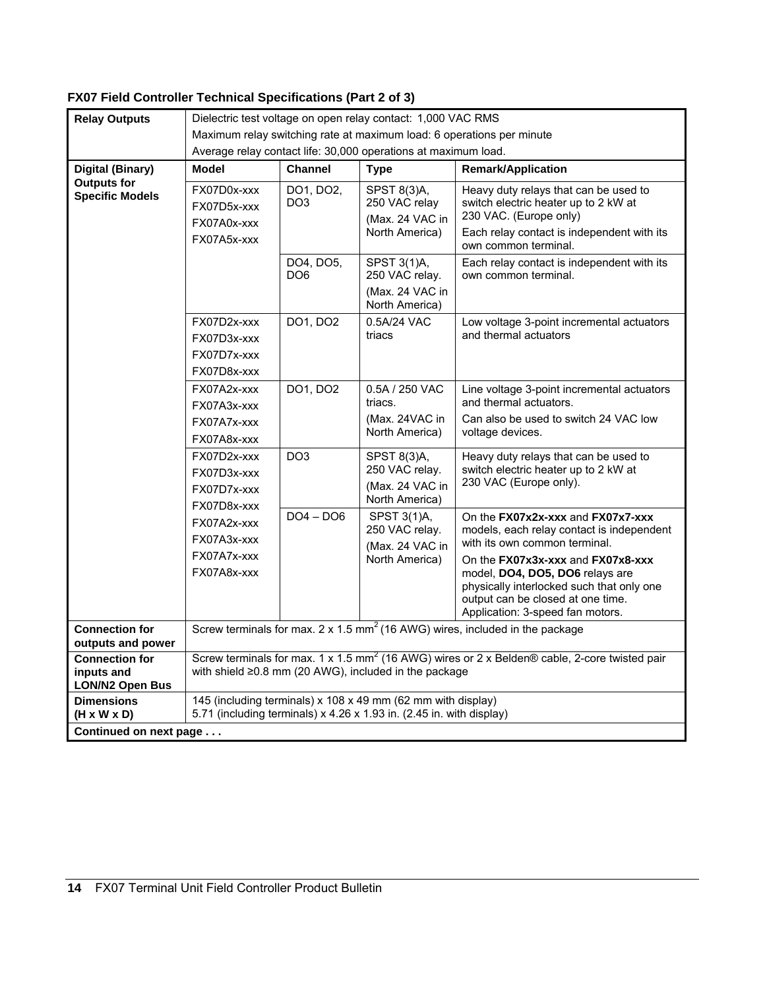### **FX07 Field Controller Technical Specifications (Part 2 of 3)**

| <b>Relay Outputs</b>                                             | Dielectric test voltage on open relay contact: 1,000 VAC RMS                                                                         |                              |                                                                    |                                                                                                                                                                               |
|------------------------------------------------------------------|--------------------------------------------------------------------------------------------------------------------------------------|------------------------------|--------------------------------------------------------------------|-------------------------------------------------------------------------------------------------------------------------------------------------------------------------------|
|                                                                  | Maximum relay switching rate at maximum load: 6 operations per minute                                                                |                              |                                                                    |                                                                                                                                                                               |
|                                                                  | Average relay contact life: 30,000 operations at maximum load.                                                                       |                              |                                                                    |                                                                                                                                                                               |
| Digital (Binary)<br><b>Outputs for</b><br><b>Specific Models</b> | <b>Model</b>                                                                                                                         | <b>Channel</b>               | <b>Type</b>                                                        | <b>Remark/Application</b>                                                                                                                                                     |
|                                                                  | FX07D0x-xxx<br>FX07D5x-xxx<br>FX07A0x-xxx<br>FX07A5x-xxx                                                                             | DO1, DO2,<br>DO <sub>3</sub> | SPST 8(3)A,<br>250 VAC relay<br>(Max. 24 VAC in<br>North America)  | Heavy duty relays that can be used to<br>switch electric heater up to 2 kW at<br>230 VAC. (Europe only)<br>Each relay contact is independent with its<br>own common terminal. |
|                                                                  |                                                                                                                                      | DO4, DO5,<br>DO <sub>6</sub> | SPST 3(1)A,<br>250 VAC relay.<br>(Max. 24 VAC in                   | Each relay contact is independent with its<br>own common terminal.                                                                                                            |
|                                                                  |                                                                                                                                      |                              | North America)                                                     |                                                                                                                                                                               |
|                                                                  | FX07D2x-xxx<br>FX07D3x-xxx                                                                                                           | DO1, DO2                     | 0.5A/24 VAC<br>triacs                                              | Low voltage 3-point incremental actuators<br>and thermal actuators                                                                                                            |
|                                                                  | FX07D7x-xxx                                                                                                                          |                              |                                                                    |                                                                                                                                                                               |
|                                                                  | FX07D8x-xxx                                                                                                                          |                              |                                                                    |                                                                                                                                                                               |
|                                                                  | FX07A2x-xxx                                                                                                                          | DO1, DO2                     | 0.5A / 250 VAC                                                     | Line voltage 3-point incremental actuators                                                                                                                                    |
|                                                                  | FX07A3x-xxx                                                                                                                          |                              | triacs.                                                            | and thermal actuators.                                                                                                                                                        |
|                                                                  | FX07A7x-xxx                                                                                                                          |                              | (Max. 24VAC in<br>North America)                                   | Can also be used to switch 24 VAC low<br>voltage devices.                                                                                                                     |
|                                                                  | FX07A8x-xxx                                                                                                                          |                              |                                                                    |                                                                                                                                                                               |
|                                                                  | FX07D2x-xxx                                                                                                                          | DO <sub>3</sub>              | SPST 8(3)A,<br>250 VAC relay.<br>(Max. 24 VAC in<br>North America) | Heavy duty relays that can be used to<br>switch electric heater up to 2 kW at<br>230 VAC (Europe only).                                                                       |
|                                                                  | FX07D3x-xxx                                                                                                                          |                              |                                                                    |                                                                                                                                                                               |
|                                                                  | FX07D7x-xxx                                                                                                                          |                              |                                                                    |                                                                                                                                                                               |
|                                                                  | FX07D8x-xxx                                                                                                                          | $DO4 - DO6$                  | SPST 3(1)A,<br>250 VAC relay.<br>(Max. 24 VAC in<br>North America) | On the FX07x2x-xxx and FX07x7-xxx<br>models, each relay contact is independent<br>with its own common terminal.                                                               |
|                                                                  | FX07A2x-xxx<br>FX07A3x-xxx                                                                                                           |                              |                                                                    |                                                                                                                                                                               |
|                                                                  | FX07A7x-xxx                                                                                                                          |                              |                                                                    |                                                                                                                                                                               |
|                                                                  | FX07A8x-xxx                                                                                                                          |                              |                                                                    | On the FX07x3x-xxx and FX07x8-xxx<br>model, DO4, DO5, DO6 relays are                                                                                                          |
|                                                                  |                                                                                                                                      |                              |                                                                    | physically interlocked such that only one<br>output can be closed at one time.<br>Application: 3-speed fan motors.                                                            |
| <b>Connection for</b>                                            |                                                                                                                                      |                              |                                                                    | Screw terminals for max. 2 x 1.5 $mm2$ (16 AWG) wires, included in the package                                                                                                |
| outputs and power                                                |                                                                                                                                      |                              |                                                                    |                                                                                                                                                                               |
| <b>Connection for</b>                                            |                                                                                                                                      |                              |                                                                    | Screw terminals for max. 1 x 1.5 mm <sup>2</sup> (16 AWG) wires or 2 x Belden® cable, 2-core twisted pair                                                                     |
| inputs and<br>LON/N2 Open Bus                                    | with shield $\geq$ 0.8 mm (20 AWG), included in the package                                                                          |                              |                                                                    |                                                                                                                                                                               |
| <b>Dimensions</b><br>(H x W x D)                                 | 145 (including terminals) x 108 x 49 mm (62 mm with display)<br>5.71 (including terminals) x 4.26 x 1.93 in. (2.45 in. with display) |                              |                                                                    |                                                                                                                                                                               |
| Continued on next page                                           |                                                                                                                                      |                              |                                                                    |                                                                                                                                                                               |